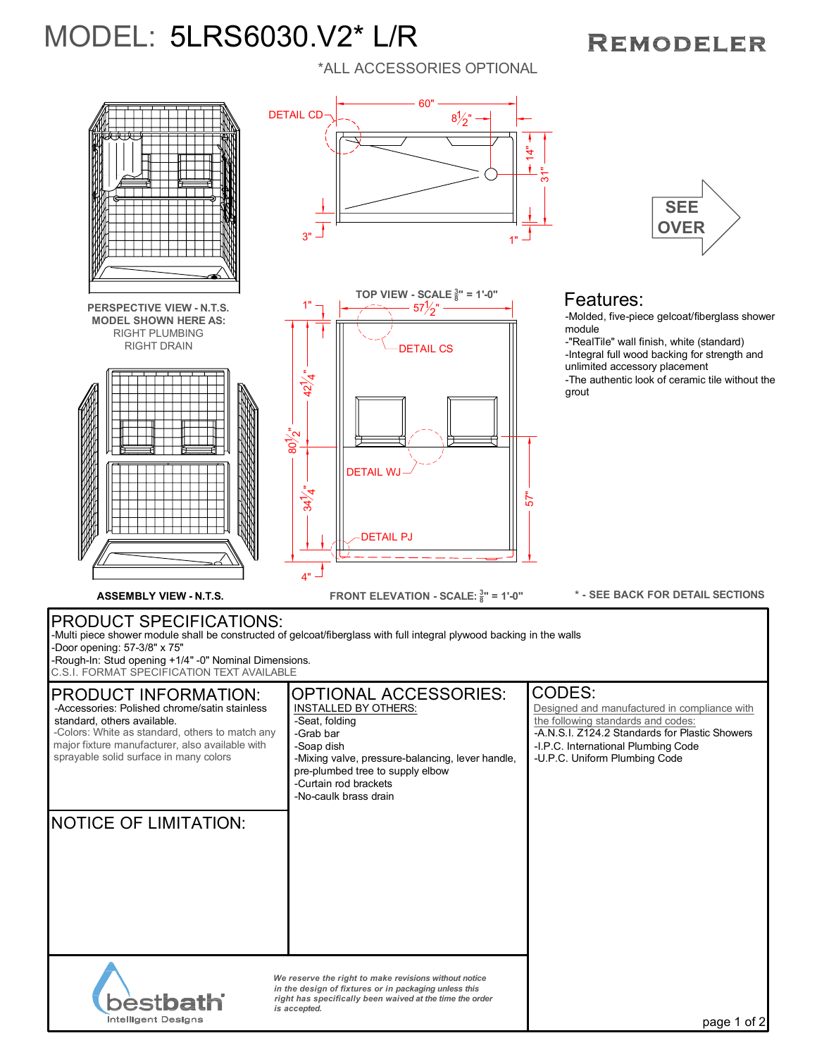## MODEL: 5LRS6030.V2\* L/R

## \*ALL ACCESSORIES OPTIONAL

## **REMODELER**